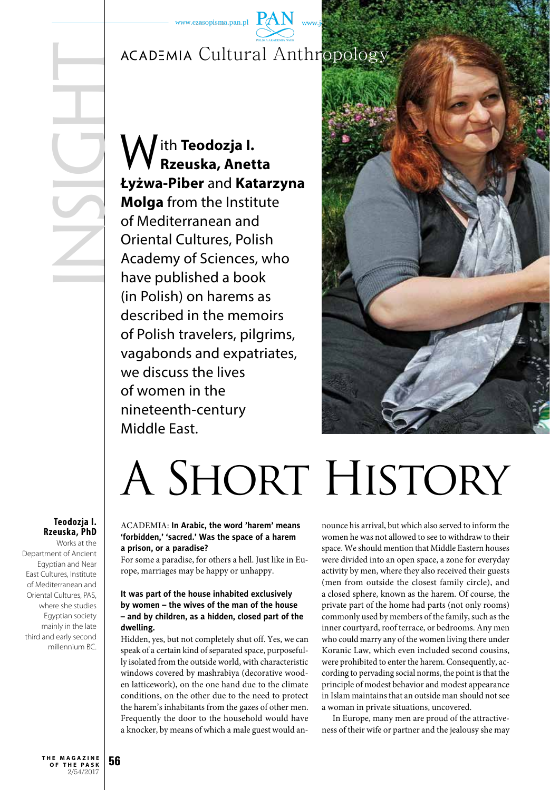## ACADEMIA Cultural Anthropology

**insight** 

With **Teodozja I. Rzeuska, Anetta Łyżwa-Piber** and **Katarzyna Molga** from the Institute of Mediterranean and Oriental Cultures, Polish Academy of Sciences, who have published a book (in Polish) on harems as described in the memoirs of Polish travelers, pilgrims, vagabonds and expatriates, we discuss the lives of women in the nineteenth-century Middle East.



# A SHORT HISTORY

### **Teodozja I. Rzeuska, PhD**

Works at the Department of Ancient Egyptian and Near East Cultures, Institute of Mediterranean and Oriental Cultures, PAS, where she studies Egyptian society mainly in the late third and early second millennium BC.

### ACADEMIA: **In Arabic, the word 'harem' means 'forbidden,' 'sacred.' Was the space of a harem a prison, or a paradise?**

For some a paradise, for others a hell. Just like in Europe, marriages may be happy or unhappy.

#### **It was part of the house inhabited exclusively by women – the wives of the man of the house – and by children, as a hidden, closed part of the dwelling.**

Hidden, yes, but not completely shut off. Yes, we can speak of a certain kind of separated space, purposefully isolated from the outside world, with characteristic windows covered by mashrabiya (decorative wooden latticework), on the one hand due to the climate conditions, on the other due to the need to protect the harem's inhabitants from the gazes of other men. Frequently the door to the household would have a knocker, by means of which a male guest would announce his arrival, but which also served to inform the women he was not allowed to see to withdraw to their space. We should mention that Middle Eastern houses were divided into an open space, a zone for everyday activity by men, where they also received their guests (men from outside the closest family circle), and a closed sphere, known as the harem. Of course, the private part of the home had parts (not only rooms) commonly used by members of the family, such as the inner courtyard, roof terrace, or bedrooms. Any men who could marry any of the women living there under Koranic Law, which even included second cousins, were prohibited to enter the harem. Consequently, according to pervading social norms, the point is that the principle of modest behavior and modest appearance in Islam maintains that an outside man should not see a woman in private situations, uncovered.

In Europe, many men are proud of the attractiveness of their wife or partner and the jealousy she may

**56 t h e m a g a z i n e o f t h e p a s k** 2/54/2017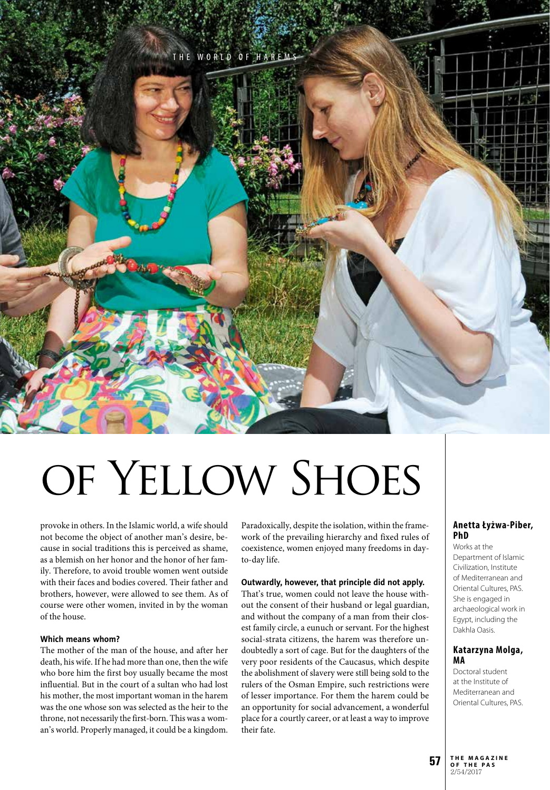

# OF YELLOW SHOES

provoke in others. In the Islamic world, a wife should not become the object of another man's desire, because in social traditions this is perceived as shame, as a blemish on her honor and the honor of her family. Therefore, to avoid trouble women went outside with their faces and bodies covered. Their father and brothers, however, were allowed to see them. As of course were other women, invited in by the woman of the house.

#### **Which means whom?**

The mother of the man of the house, and after her death, his wife. If he had more than one, then the wife who bore him the first boy usually became the most influential. But in the court of a sultan who had lost his mother, the most important woman in the harem was the one whose son was selected as the heir to the throne, not necessarily the first-born. This was a woman's world. Properly managed, it could be a kingdom.

Paradoxically, despite the isolation, within the framework of the prevailing hierarchy and fixed rules of coexistence, women enjoyed many freedoms in dayto-day life.

#### **Outwardly, however, that principle did not apply.**

That's true, women could not leave the house without the consent of their husband or legal guardian, and without the company of a man from their closest family circle, a eunuch or servant. For the highest social-strata citizens, the harem was therefore undoubtedly a sort of cage. But for the daughters of the very poor residents of the Caucasus, which despite the abolishment of slavery were still being sold to the rulers of the Osman Empire, such restrictions were of lesser importance. For them the harem could be an opportunity for social advancement, a wonderful place for a courtly career, or at least a way to improve their fate.

#### **Anetta Łyżwa-Piber, PhD**

Works at the Department of Islamic Civilization, Institute of Mediterranean and Oriental Cultures, PAS. She is engaged in archaeological work in Egypt, including the Dakhla Oasis.

#### **Katarzyna Molga, MA**

Doctoral student at the Institute of Mediterranean and Oriental Cultures, PAS.

**o f t h e p a s** 2/54/2017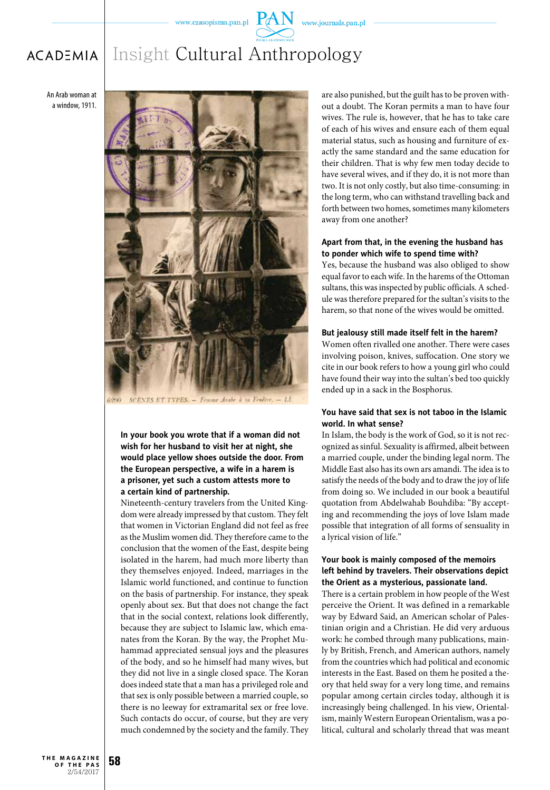$PAN$  www.journals.pan.pl

#### Insight Cultural Anthropology**ACADEMIA**

An Arab woman at a window, 1911.



**In your book you wrote that if a woman did not wish for her husband to visit her at night, she would place yellow shoes outside the door. From the European perspective, a wife in a harem is a prisoner, yet such a custom attests more to a certain kind of partnership.**

Nineteenth-century travelers from the United Kingdom were already impressed by that custom. They felt that women in Victorian England did not feel as free as the Muslim women did. They therefore came to the conclusion that the women of the East, despite being isolated in the harem, had much more liberty than they themselves enjoyed. Indeed, marriages in the Islamic world functioned, and continue to function on the basis of partnership. For instance, they speak openly about sex. But that does not change the fact that in the social context, relations look differently, because they are subject to Islamic law, which emanates from the Koran. By the way, the Prophet Muhammad appreciated sensual joys and the pleasures of the body, and so he himself had many wives, but they did not live in a single closed space. The Koran does indeed state that a man has a privileged role and that sex is only possible between a married couple, so there is no leeway for extramarital sex or free love. Such contacts do occur, of course, but they are very much condemned by the society and the family. They are also punished, but the guilt has to be proven without a doubt. The Koran permits a man to have four wives. The rule is, however, that he has to take care of each of his wives and ensure each of them equal material status, such as housing and furniture of exactly the same standard and the same education for their children. That is why few men today decide to have several wives, and if they do, it is not more than two. It is not only costly, but also time-consuming: in the long term, who can withstand travelling back and forth between two homes, sometimes many kilometers away from one another?

#### **Apart from that, in the evening the husband has to ponder which wife to spend time with?**

Yes, because the husband was also obliged to show equal favor to each wife. In the harems of the Ottoman sultans, this was inspected by public officials. A schedule was therefore prepared for the sultan's visits to the harem, so that none of the wives would be omitted.

#### **But jealousy still made itself felt in the harem?**

Women often rivalled one another. There were cases involving poison, knives, suffocation. One story we cite in our book refers to how a young girl who could have found their way into the sultan's bed too quickly ended up in a sack in the Bosphorus.

#### **You have said that sex is not taboo in the Islamic world. In what sense?**

In Islam, the body is the work of God, so it is not recognized as sinful. Sexuality is affirmed, albeit between a married couple, under the binding legal norm. The Middle East also has its own ars amandi. The idea is to satisfy the needs of the body and to draw the joy of life from doing so. We included in our book a beautiful quotation from Abdelwahab Bouhdiba: "By accepting and recommending the joys of love Islam made possible that integration of all forms of sensuality in a lyrical vision of life."

#### **Your book is mainly composed of the memoirs left behind by travelers. Their observations depict the Orient as a mysterious, passionate land.**

There is a certain problem in how people of the West perceive the Orient. It was defined in a remarkable way by Edward Said, an American scholar of Palestinian origin and a Christian. He did very arduous work: he combed through many publications, mainly by British, French, and American authors, namely from the countries which had political and economic interests in the East. Based on them he posited a theory that held sway for a very long time, and remains popular among certain circles today, although it is increasingly being challenged. In his view, Orientalism, mainly Western European Orientalism, was a political, cultural and scholarly thread that was meant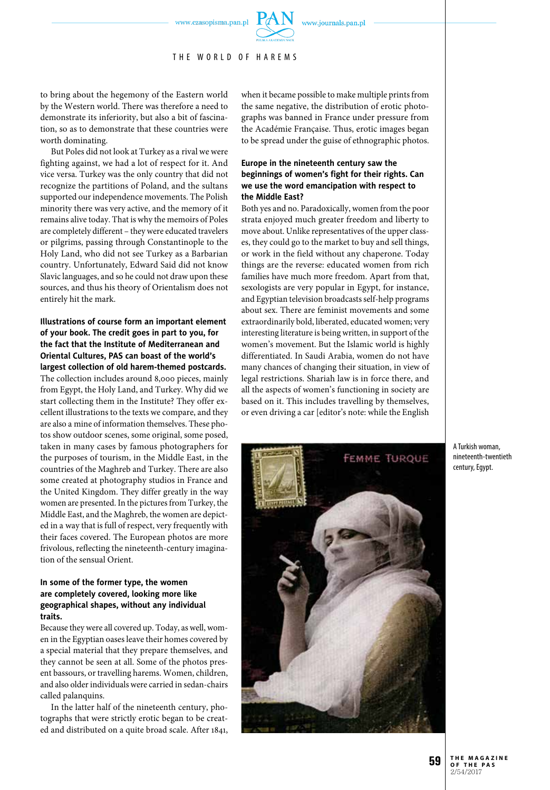

THE WORLD OF HAREMS

to bring about the hegemony of the Eastern world by the Western world. There was therefore a need to demonstrate its inferiority, but also a bit of fascination, so as to demonstrate that these countries were worth dominating.

But Poles did not look at Turkey as a rival we were fighting against, we had a lot of respect for it. And vice versa. Turkey was the only country that did not recognize the partitions of Poland, and the sultans supported our independence movements. The Polish minority there was very active, and the memory of it remains alive today. That is why the memoirs of Poles are completely different – they were educated travelers or pilgrims, passing through Constantinople to the Holy Land, who did not see Turkey as a Barbarian country. Unfortunately, Edward Said did not know Slavic languages, and so he could not draw upon these sources, and thus his theory of Orientalism does not entirely hit the mark.

#### **Illustrations of course form an important element of your book. The credit goes in part to you, for the fact that the Institute of Mediterranean and Oriental Cultures, PAS can boast of the world's largest collection of old harem-themed postcards.**

The collection includes around 8,000 pieces, mainly from Egypt, the Holy Land, and Turkey. Why did we start collecting them in the Institute? They offer excellent illustrations to the texts we compare, and they are also a mine of information themselves. These photos show outdoor scenes, some original, some posed, taken in many cases by famous photographers for the purposes of tourism, in the Middle East, in the countries of the Maghreb and Turkey. There are also some created at photography studios in France and the United Kingdom. They differ greatly in the way women are presented. In the pictures from Turkey, the Middle East, and the Maghreb, the women are depicted in a way that is full of respect, very frequently with their faces covered. The European photos are more frivolous, reflecting the nineteenth-century imagination of the sensual Orient.

#### **In some of the former type, the women are completely covered, looking more like geographical shapes, without any individual traits.**

Because they were all covered up. Today, as well, women in the Egyptian oases leave their homes covered by a special material that they prepare themselves, and they cannot be seen at all. Some of the photos present bassours, or travelling harems. Women, children, and also older individuals were carried in sedan-chairs called palanquins.

In the latter half of the nineteenth century, photographs that were strictly erotic began to be created and distributed on a quite broad scale. After 1841, when it became possible to make multiple prints from the same negative, the distribution of erotic photographs was banned in France under pressure from the Académie Française. Thus, erotic images began to be spread under the guise of ethnographic photos.

#### **Europe in the nineteenth century saw the beginnings of women's fight for their rights. Can we use the word emancipation with respect to the Middle East?**

Both yes and no. Paradoxically, women from the poor strata enjoyed much greater freedom and liberty to move about. Unlike representatives of the upper classes, they could go to the market to buy and sell things, or work in the field without any chaperone. Today things are the reverse: educated women from rich families have much more freedom. Apart from that, sexologists are very popular in Egypt, for instance, and Egyptian television broadcasts self-help programs about sex. There are feminist movements and some extraordinarily bold, liberated, educated women; very interesting literature is being written, in support of the women's movement. But the Islamic world is highly differentiated. In Saudi Arabia, women do not have many chances of changing their situation, in view of legal restrictions. Shariah law is in force there, and all the aspects of women's functioning in society are based on it. This includes travelling by themselves, or even driving a car [editor's note: while the English



A Turkish woman, nineteenth-twentieth century, Egypt.